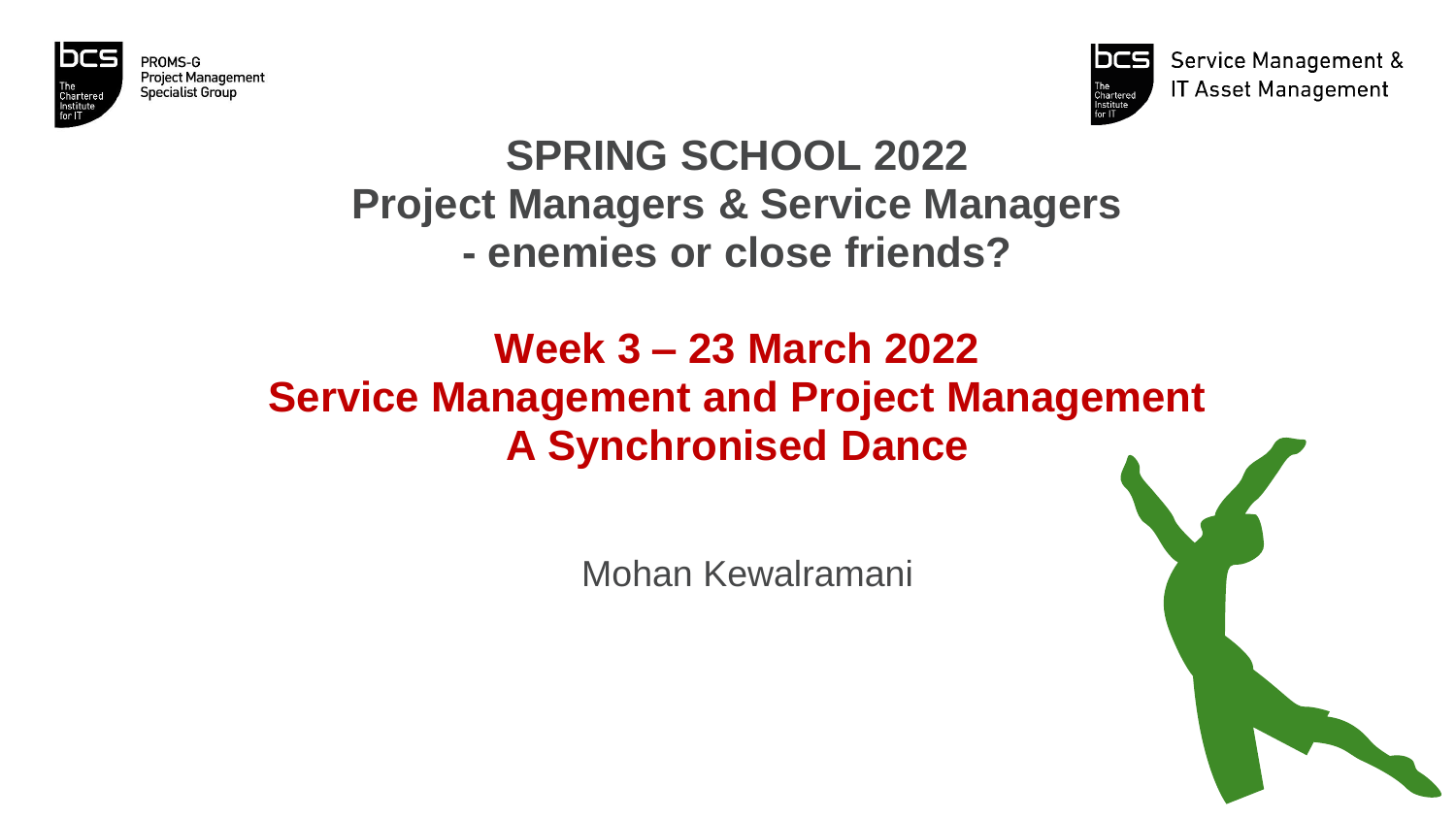

PROMS-G **Project Management** Specialist Group



**Service Management & IT Asset Management** 

# **SPRING SCHOOL 2022 Project Managers & Service Managers - enemies or close friends?**

# **Week 3 – 23 March 2022 Service Management and Project Management A Synchronised Dance**

Mohan Kewalramani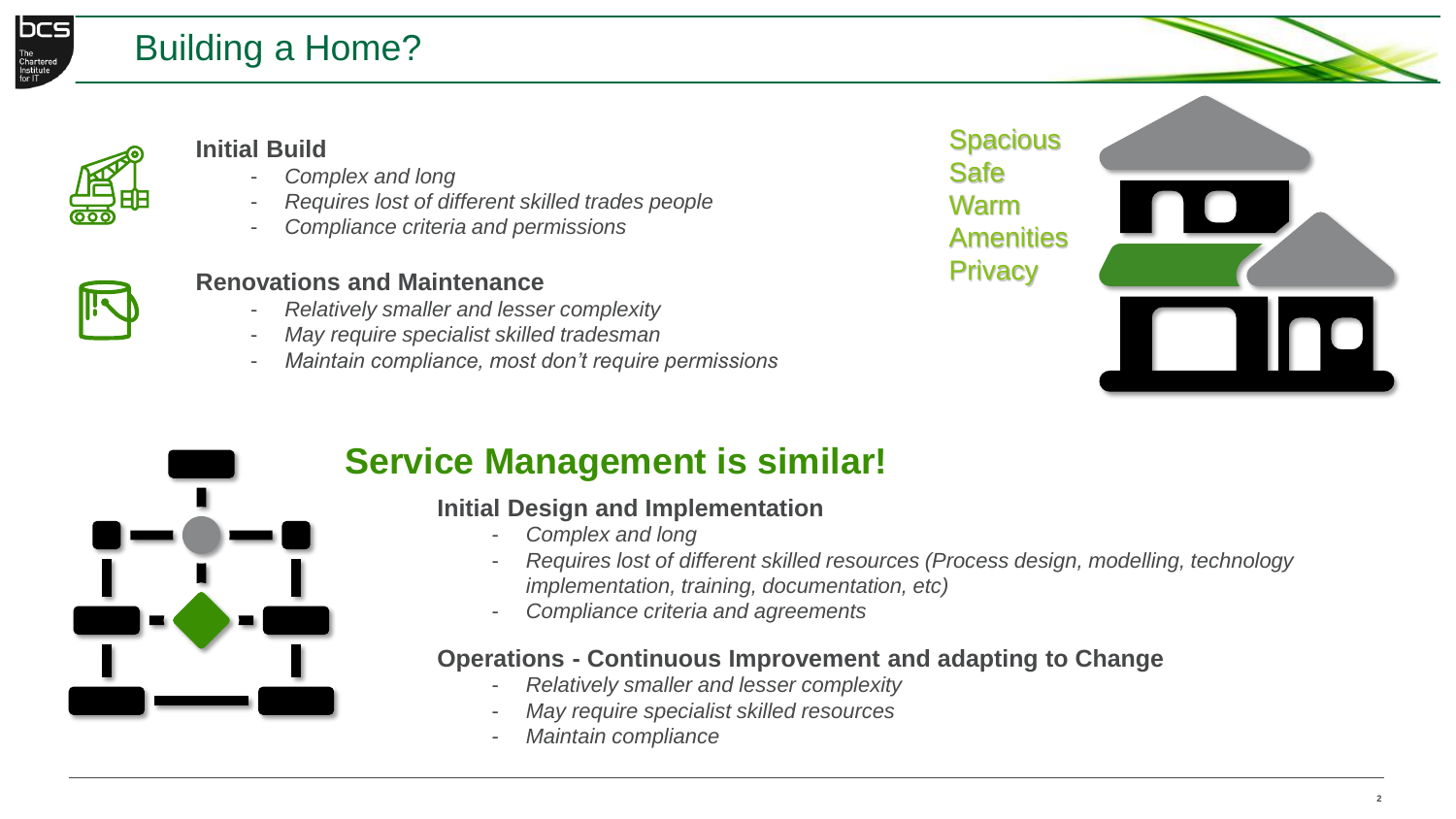

# Building a Home?



### **Initial Build**

- *Complex and long*
- *Requires lost of different skilled trades people*
- *Compliance criteria and permissions*





### **Renovations and Maintenance**

- *Relatively smaller and lesser complexity*
- *May require specialist skilled tradesman*
- *Maintain compliance, most don't require permissions*



# **Service Management is similar!**

### **Initial Design and Implementation**

- *Complex and long*
- *Requires lost of different skilled resources (Process design, modelling, technology implementation, training, documentation, etc)*
- *Compliance criteria and agreements*

### **Operations - Continuous Improvement and adapting to Change**

- *Relatively smaller and lesser complexity*
- *May require specialist skilled resources*
- *Maintain compliance*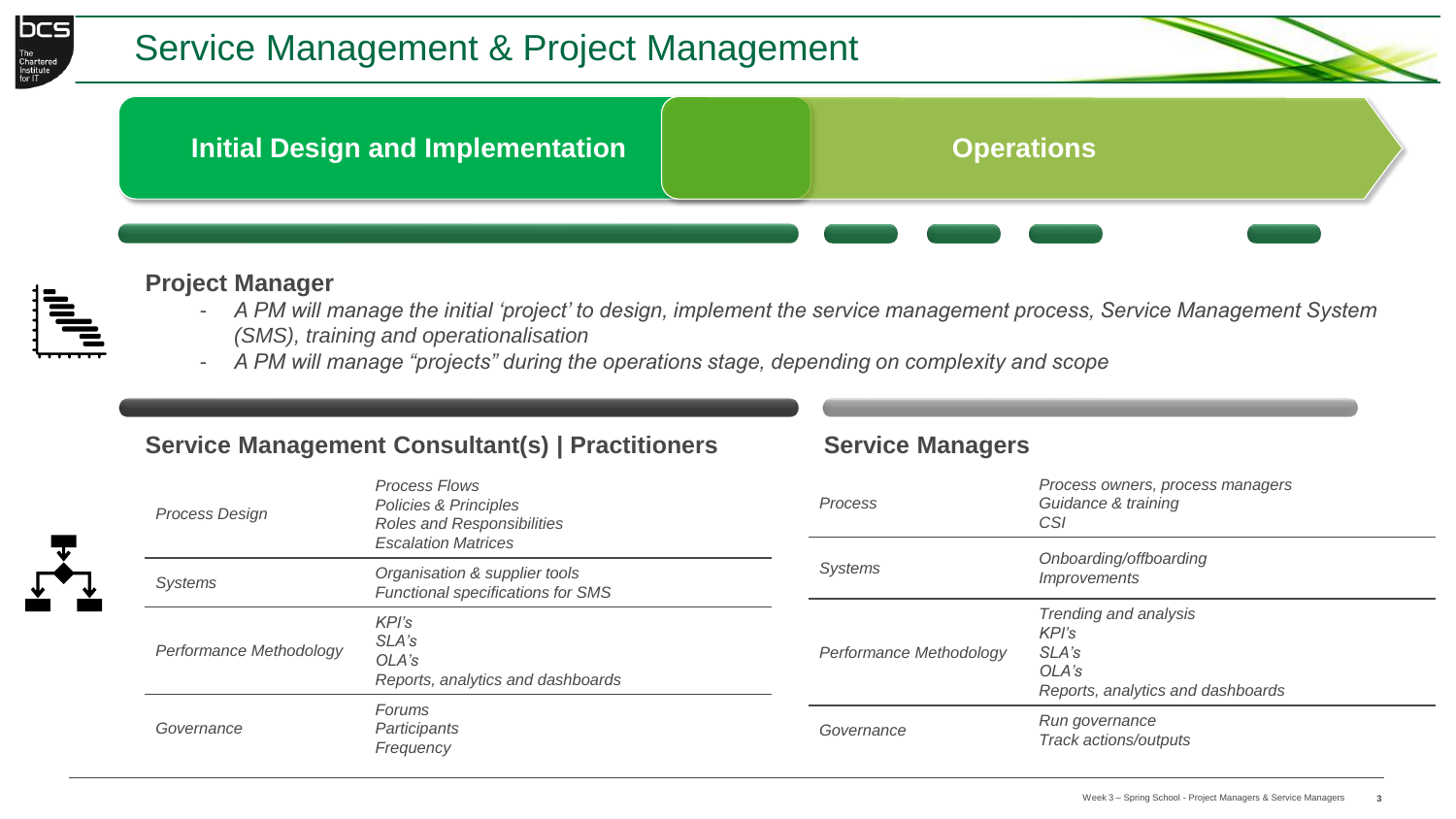



#### **Project Manager**

- *A PM will manage the initial 'project' to design, implement the service management process, Service Management System (SMS), training and operationalisation*
- *A PM will manage "projects" during the operations stage, depending on complexity and scope*

### **Service Management Consultant(s) | Practitioners Service Managers**

| <b>Process Design</b>   | <b>Process Flows</b><br>Policies & Principles<br>Roles and Responsibilities                                        | Process                 | Process owners, process managers<br>Guidance & training<br>CSI                        |
|-------------------------|--------------------------------------------------------------------------------------------------------------------|-------------------------|---------------------------------------------------------------------------------------|
| Systems                 | <b>Escalation Matrices</b><br><b>Systems</b><br>Organisation & supplier tools<br>Functional specifications for SMS |                         | Onboarding/offboarding<br><i>Improvements</i>                                         |
| Performance Methodology | KPI's<br>SLA's<br>OLA's<br>Reports, analytics and dashboards                                                       | Performance Methodology | Trending and analysis<br>KPI's<br>SLA's<br>OLA's<br>Reports, analytics and dashboards |
| Governance              | Forums<br>Participants<br>Frequency                                                                                |                         | Run governance<br>Track actions/outputs                                               |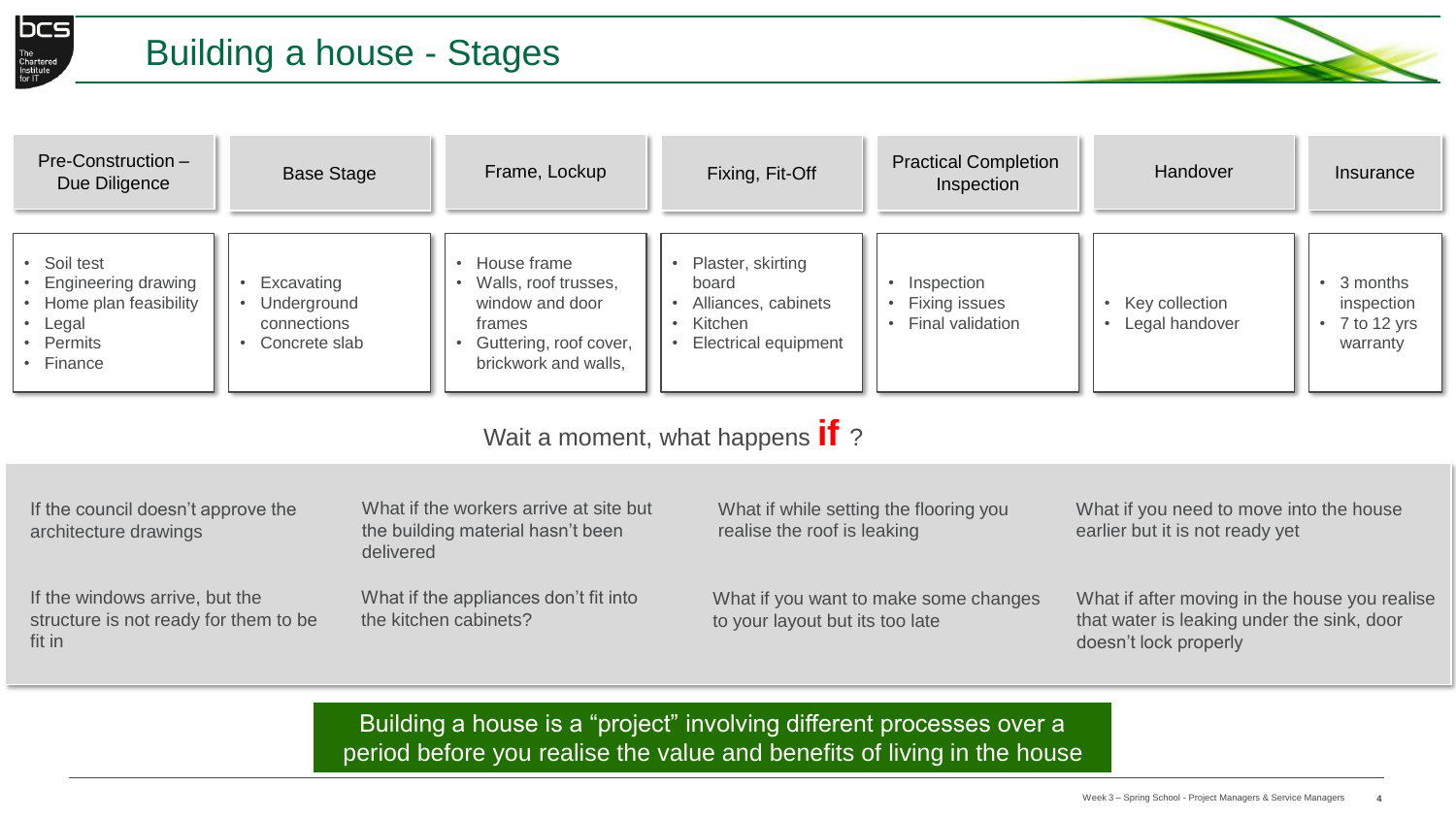

# Building a house - Stages



| Pre-Construction -<br>Due Diligence                                                                                                                               | <b>Base Stage</b>                                         | Frame, Lockup                                                                                                                   | Fixing, Fit-Off                                                                             | <b>Practical Completion</b><br>Inspection       | Handover                             | Insurance                                                      |
|-------------------------------------------------------------------------------------------------------------------------------------------------------------------|-----------------------------------------------------------|---------------------------------------------------------------------------------------------------------------------------------|---------------------------------------------------------------------------------------------|-------------------------------------------------|--------------------------------------|----------------------------------------------------------------|
| • Soil test<br><b>Engineering drawing</b><br>Home plan feasibility<br>• Legal<br>Permits<br>• Finance                                                             | Excavating<br>Underground<br>connections<br>Concrete slab | House frame<br>$\bullet$<br>Walls, roof trusses,<br>window and door<br>frames<br>Guttering, roof cover,<br>brickwork and walls, | Plaster, skirting<br>board<br>Alliances, cabinets<br>Kitchen<br><b>Electrical equipment</b> | Inspection<br>Fixing issues<br>Final validation | • Key collection<br>• Legal handover | 3 months<br>$\bullet$<br>inspection<br>7 to 12 yrs<br>warranty |
| Wait a moment, what happens <b>if</b> ?                                                                                                                           |                                                           |                                                                                                                                 |                                                                                             |                                                 |                                      |                                                                |
| What if the workers arrive at site but<br>If the council doesn't approve the<br>What if you need to move into the house<br>What if while setting the flooring you |                                                           |                                                                                                                                 |                                                                                             |                                                 |                                      |                                                                |

| If the council doesn't approve the<br>architecture drawings                       | What if the workers arrive at site but<br>the building material hasn't been<br>delivered | What if while setting the flooring you<br>realise the roof is leaking    | What if you need to move into the house<br>earlier but it is not ready yet                                           |
|-----------------------------------------------------------------------------------|------------------------------------------------------------------------------------------|--------------------------------------------------------------------------|----------------------------------------------------------------------------------------------------------------------|
| If the windows arrive, but the<br>structure is not ready for them to be<br>fit in | What if the appliances don't fit into<br>the kitchen cabinets?                           | What if you want to make some changes<br>to your layout but its too late | What if after moving in the house you realise<br>that water is leaking under the sink, door<br>doesn't lock properly |

Building a house is a "project" involving different processes over a period before you realise the value and benefits of living in the house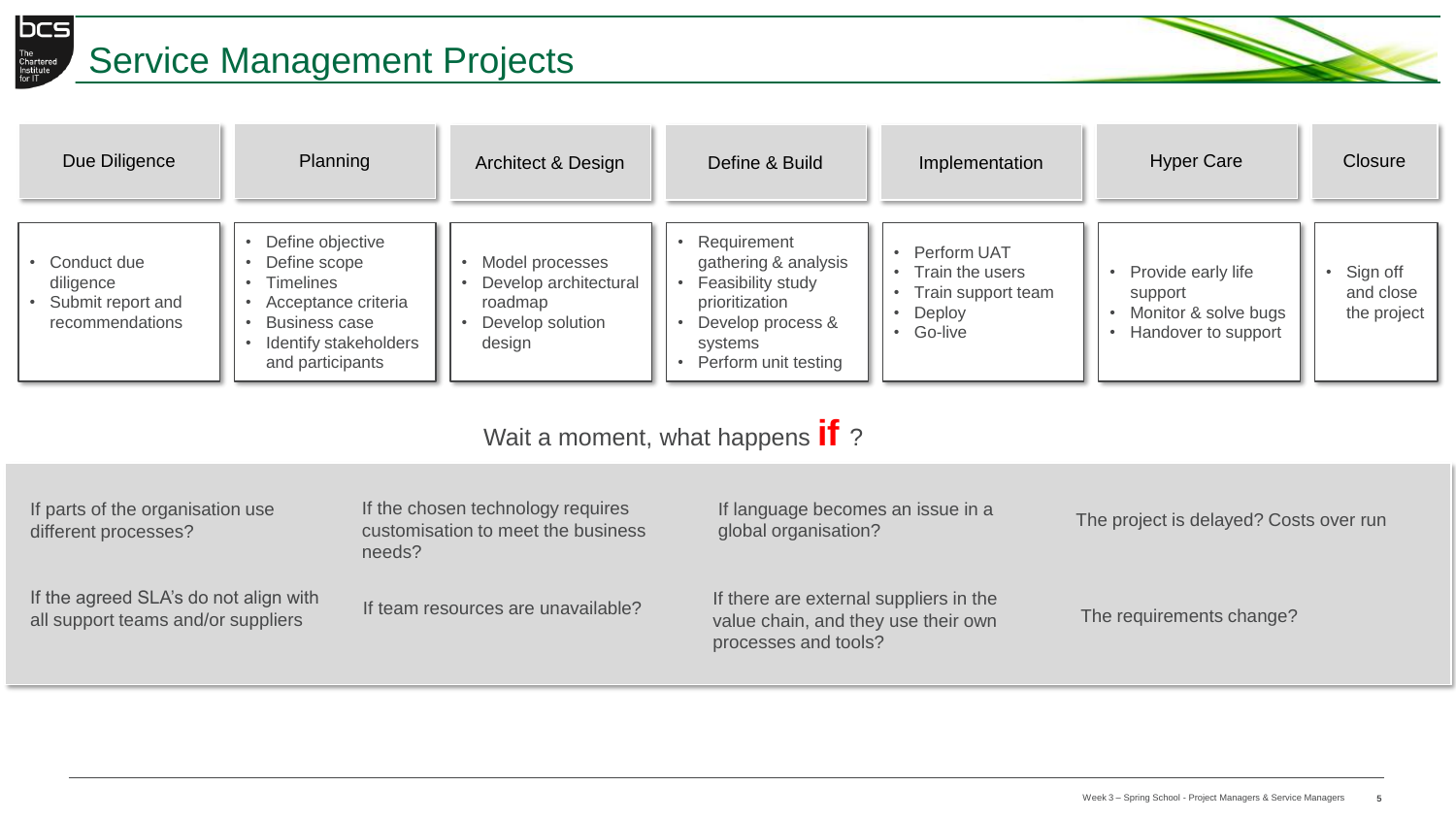

# The Instanced Service Management Projects



| Due Diligence                                                    | Planning                                                                                                                                         | Architect & Design                                                                | Define & Build                                                                                                                     | Implementation                                                            | <b>Hyper Care</b>                                                            | Closure                              |
|------------------------------------------------------------------|--------------------------------------------------------------------------------------------------------------------------------------------------|-----------------------------------------------------------------------------------|------------------------------------------------------------------------------------------------------------------------------------|---------------------------------------------------------------------------|------------------------------------------------------------------------------|--------------------------------------|
| Conduct due<br>diligence<br>Submit report and<br>recommendations | Define objective<br>Define scope<br><b>Timelines</b><br>Acceptance criteria<br><b>Business case</b><br>Identify stakeholders<br>and participants | Model processes<br>Develop architectural<br>roadmap<br>Develop solution<br>design | Requirement<br>gathering & analysis<br>Feasibility study<br>prioritization<br>Develop process &<br>systems<br>Perform unit testing | Perform UAT<br>Train the users<br>Train support team<br>Deploy<br>Go-live | Provide early life<br>support<br>Monitor & solve bugs<br>Handover to support | Sign off<br>and close<br>the project |

Wait a moment, what happens **if** ?

| If parts of the organisation use<br>different processes?                    | If the chosen technology requires<br>customisation to meet the business<br>needs? | If language becomes an issue in a<br>global organisation?                                             | The project is delayed? Costs over run |
|-----------------------------------------------------------------------------|-----------------------------------------------------------------------------------|-------------------------------------------------------------------------------------------------------|----------------------------------------|
| If the agreed SLA's do not align with<br>all support teams and/or suppliers | If team resources are unavailable?                                                | If there are external suppliers in the<br>value chain, and they use their own<br>processes and tools? | The requirements change?               |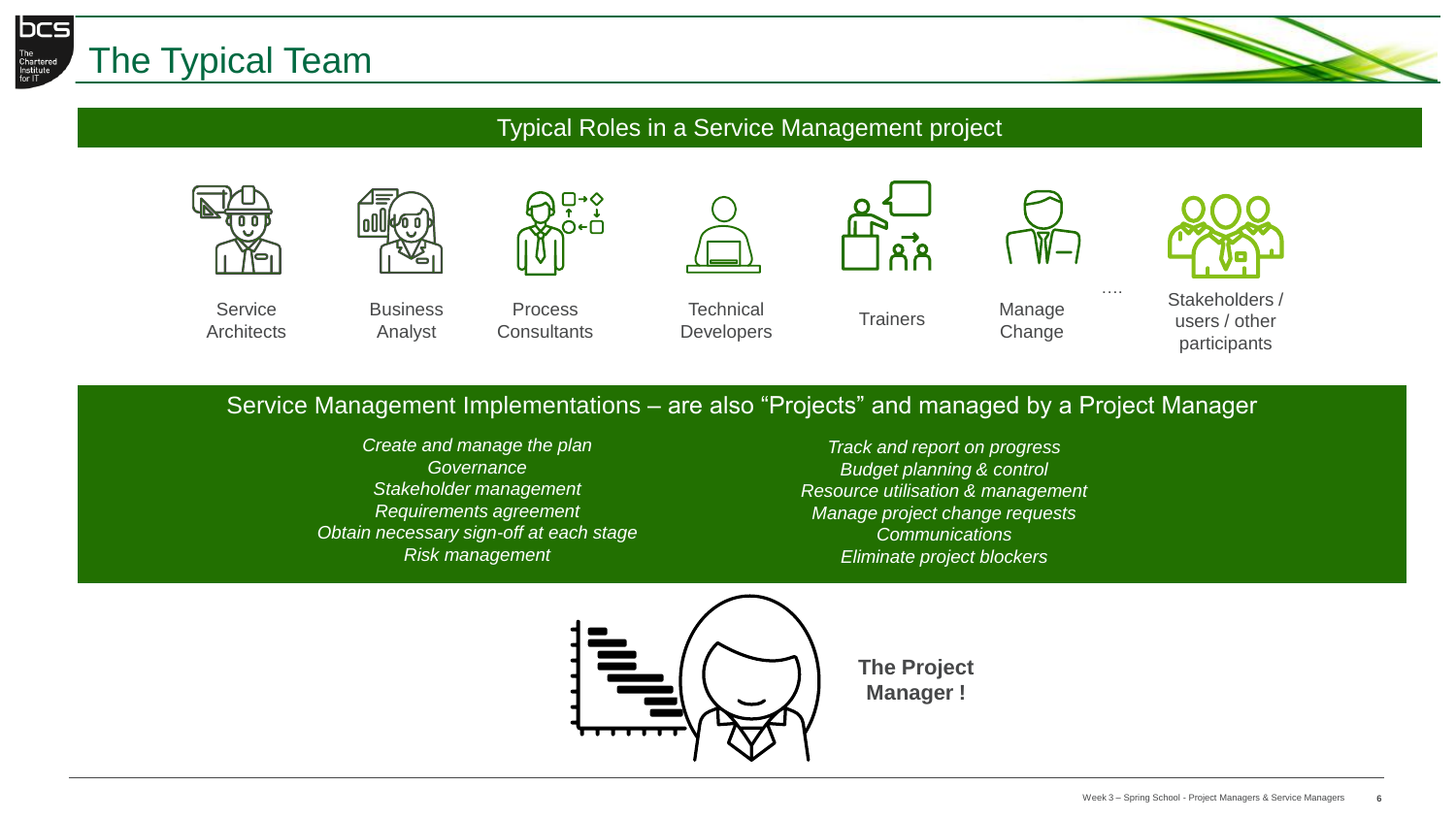



### Typical Roles in a Service Management project







**Business** Analyst

Process **Consultants** 

**Technical** Developers

Trainers Manage



….

**Change** 



Stakeholders / users / other participants

### Service Management Implementations – are also "Projects" and managed by a Project Manager

*Create and manage the plan Governance Stakeholder management Requirements agreement Obtain necessary sign-off at each stage Risk management*

*Track and report on progress Budget planning & control Resource utilisation & management Manage project change requests Communications Eliminate project blockers*

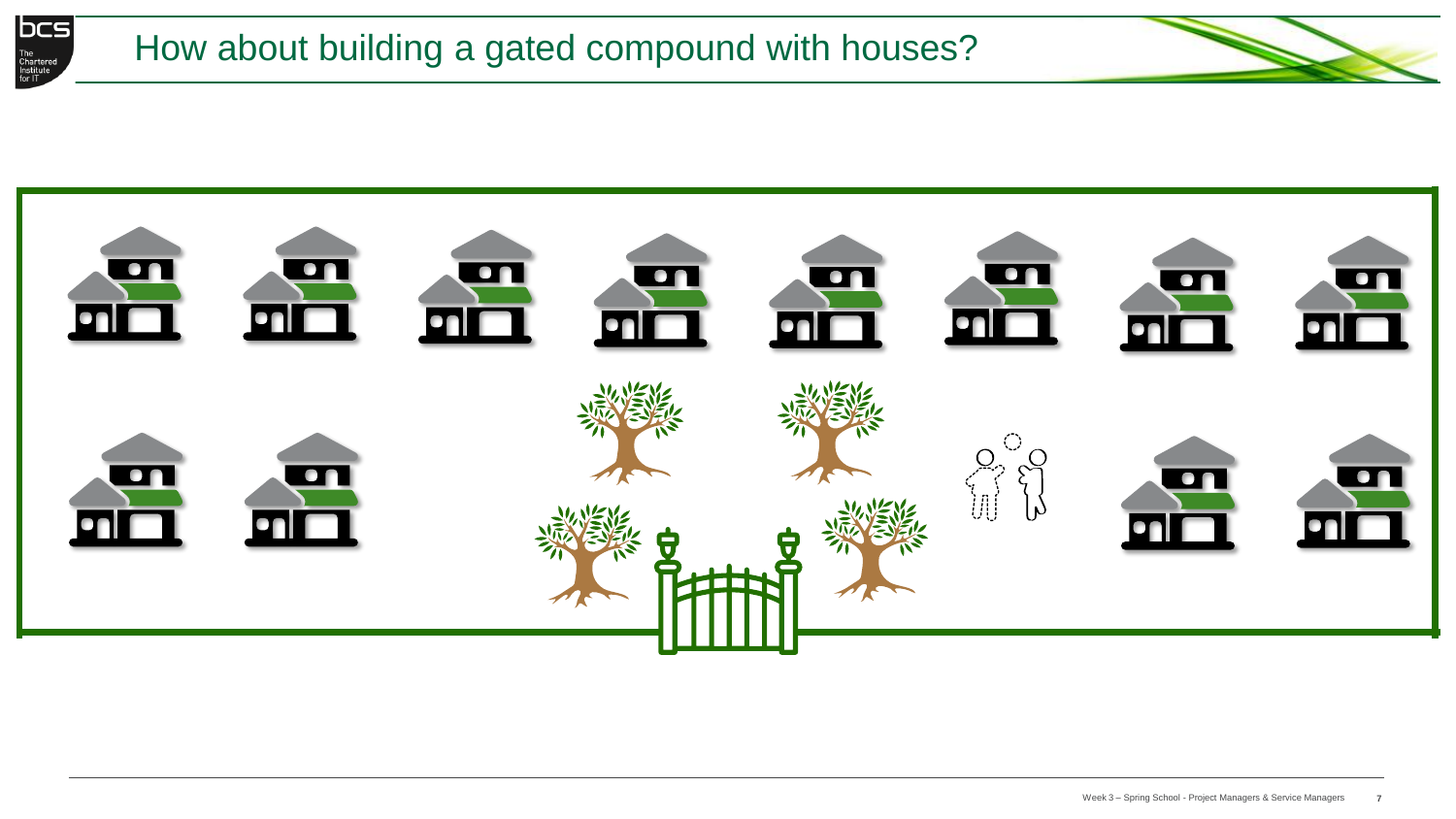



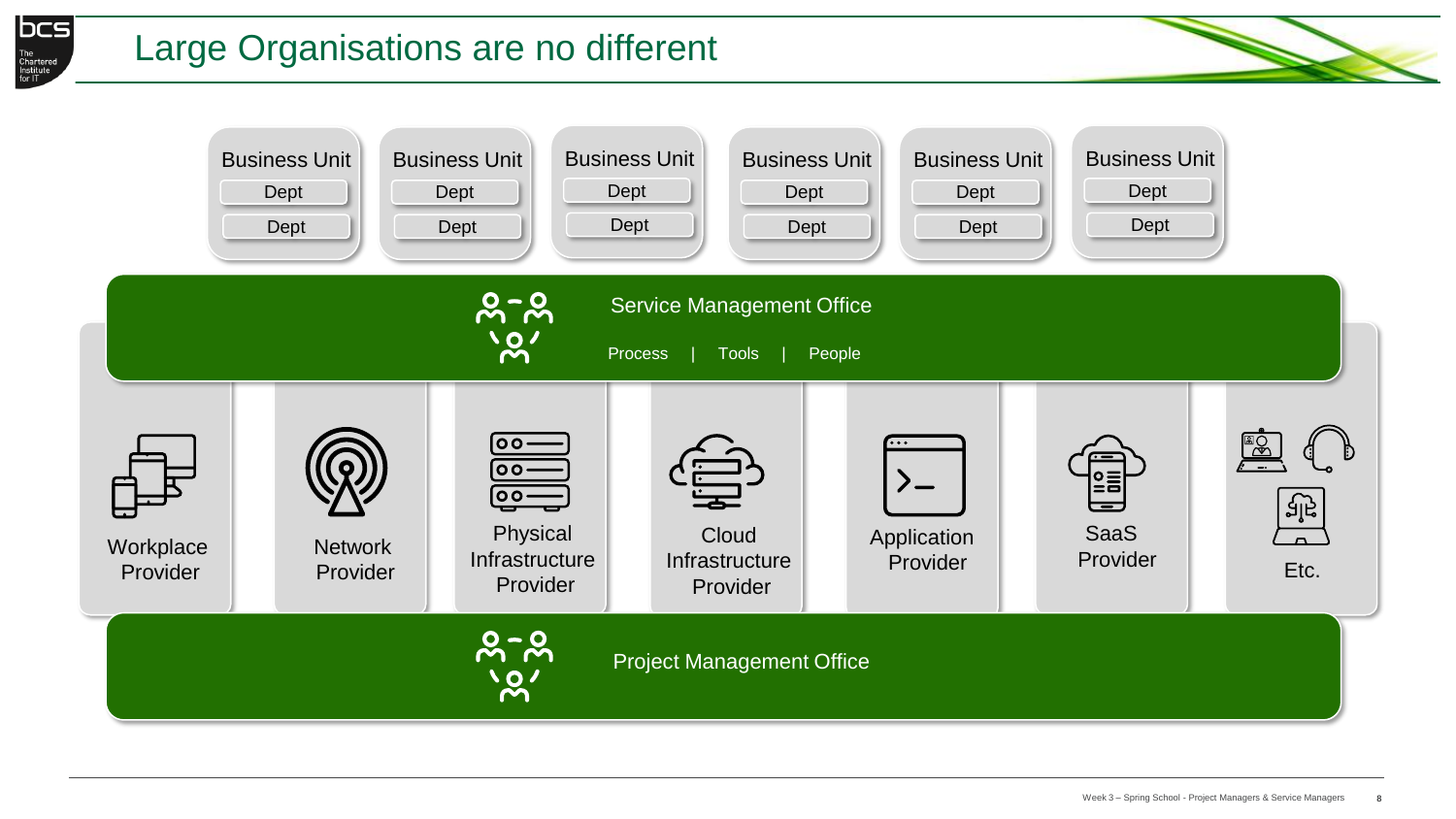

# Large Organisations are no different

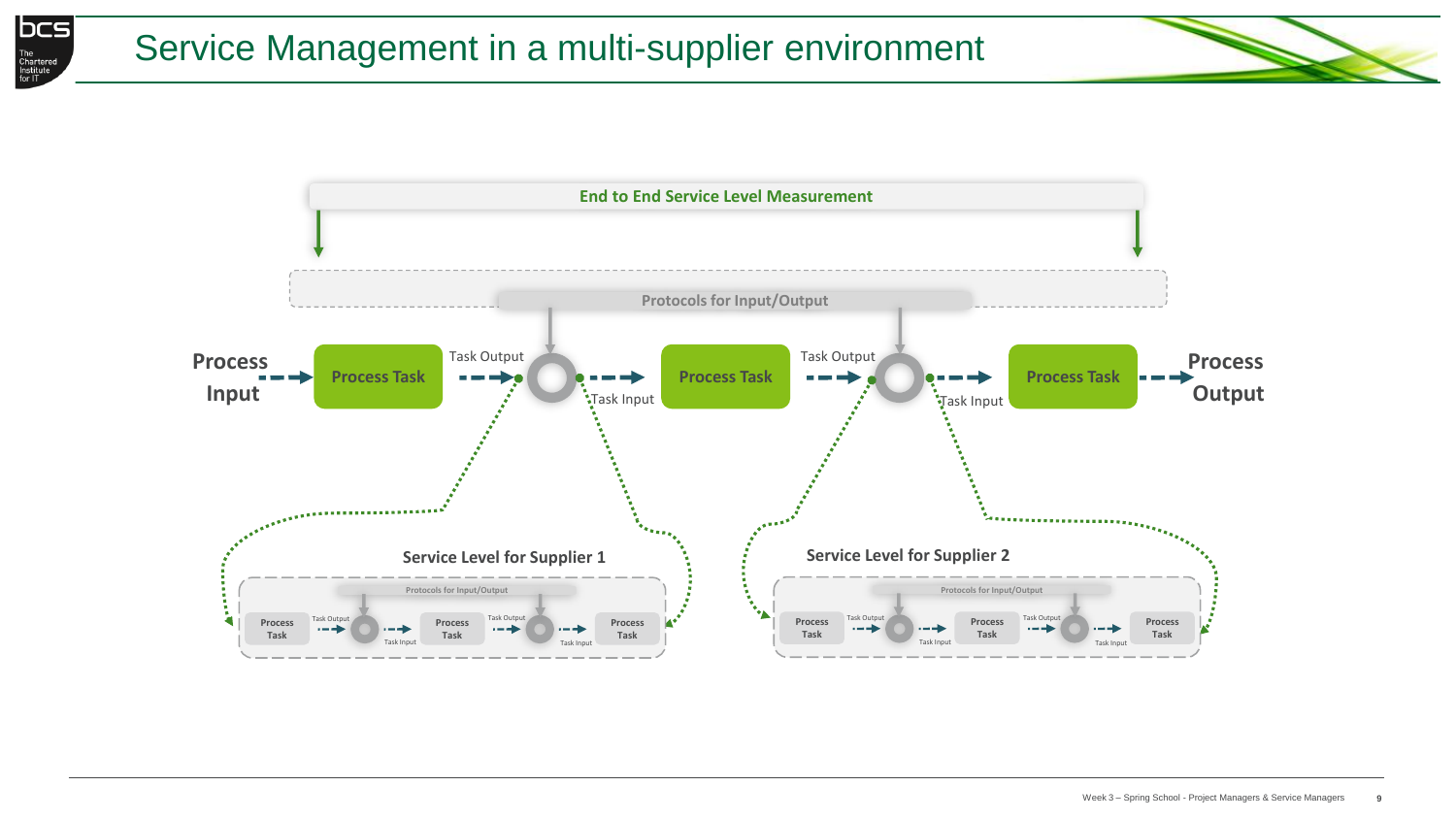

# Service Management in a multi-supplier environment



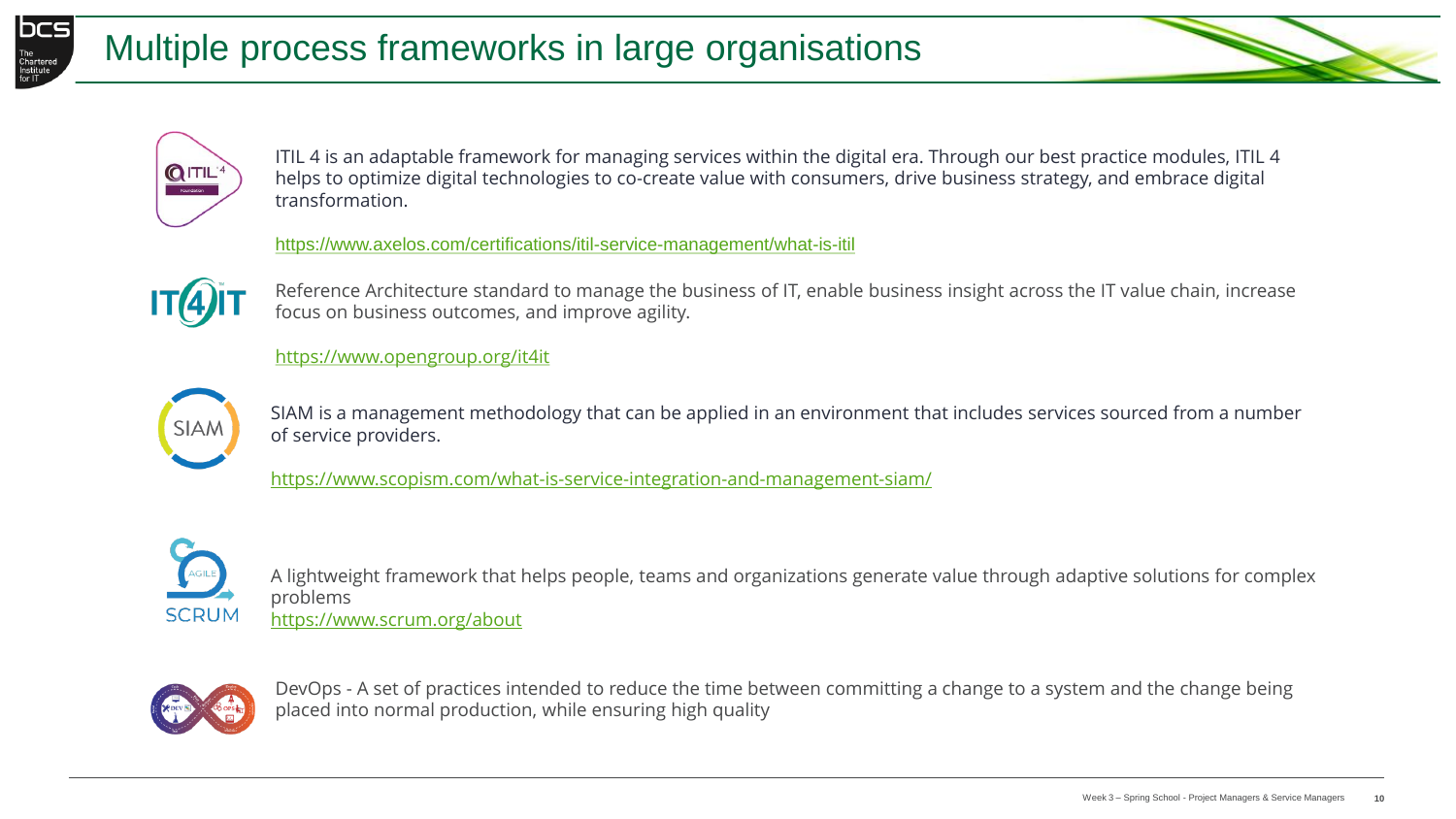





ITIL 4 is an adaptable framework for managing services within the digital era. Through our best practice modules, ITIL 4 helps to optimize digital technologies to co-create value with consumers, drive business strategy, and embrace digital transformation.

<https://www.axelos.com/certifications/itil-service-management/what-is-itil>



Reference Architecture standard to manage the business of IT, enable business insight across the IT value chain, increase focus on business outcomes, and improve agility.

<https://www.opengroup.org/it4it>



SIAM is a management methodology that can be applied in an environment that includes services sourced from a number of service providers.

<https://www.scopism.com/what-is-service-integration-and-management-siam/>



A lightweight framework that helps people, teams and organizations generate value through adaptive solutions for complex problems <https://www.scrum.org/about>



DevOps - A set of practices intended to reduce the time between committing a change to a system and the change being placed into normal production, while ensuring high quality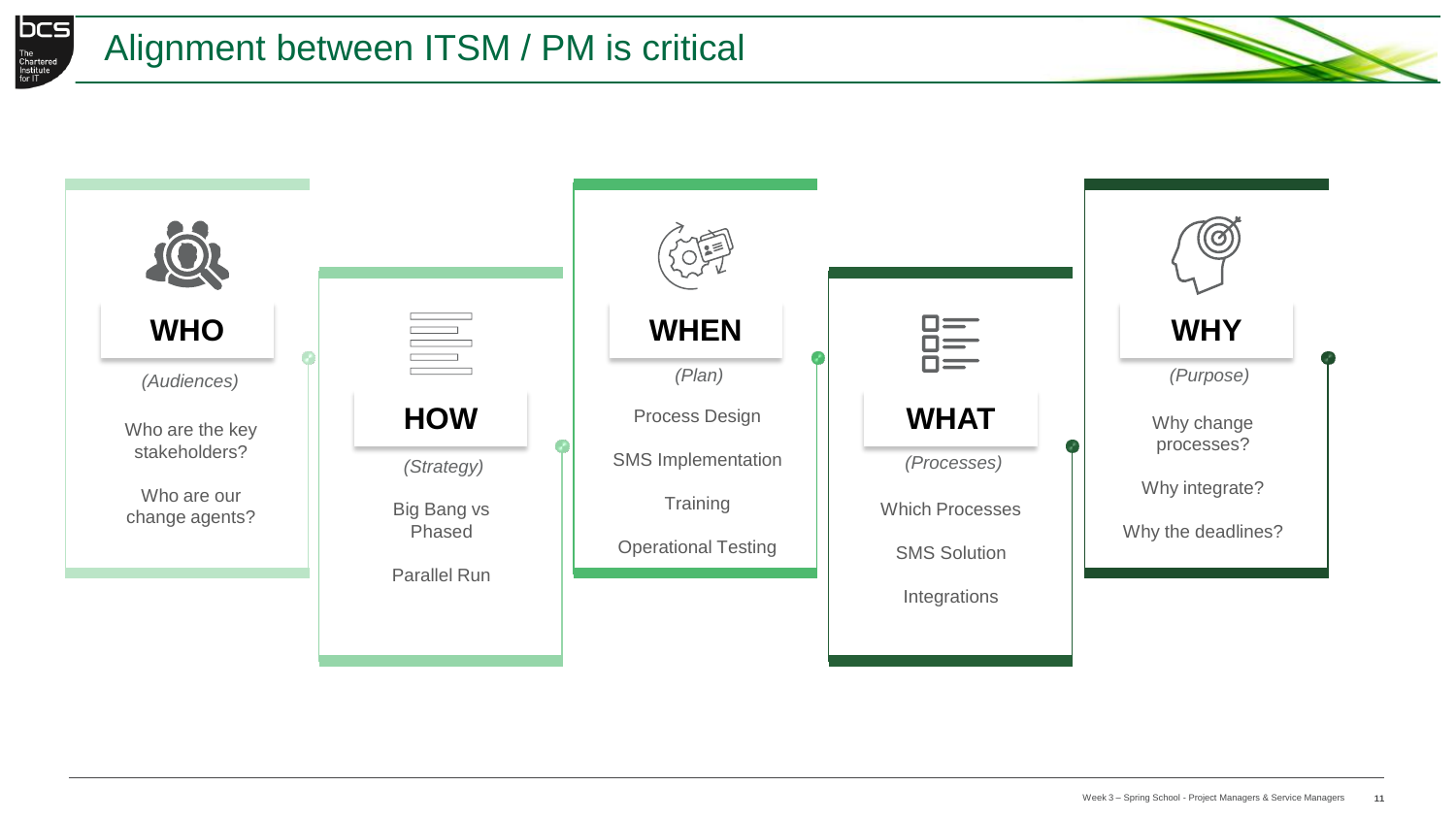

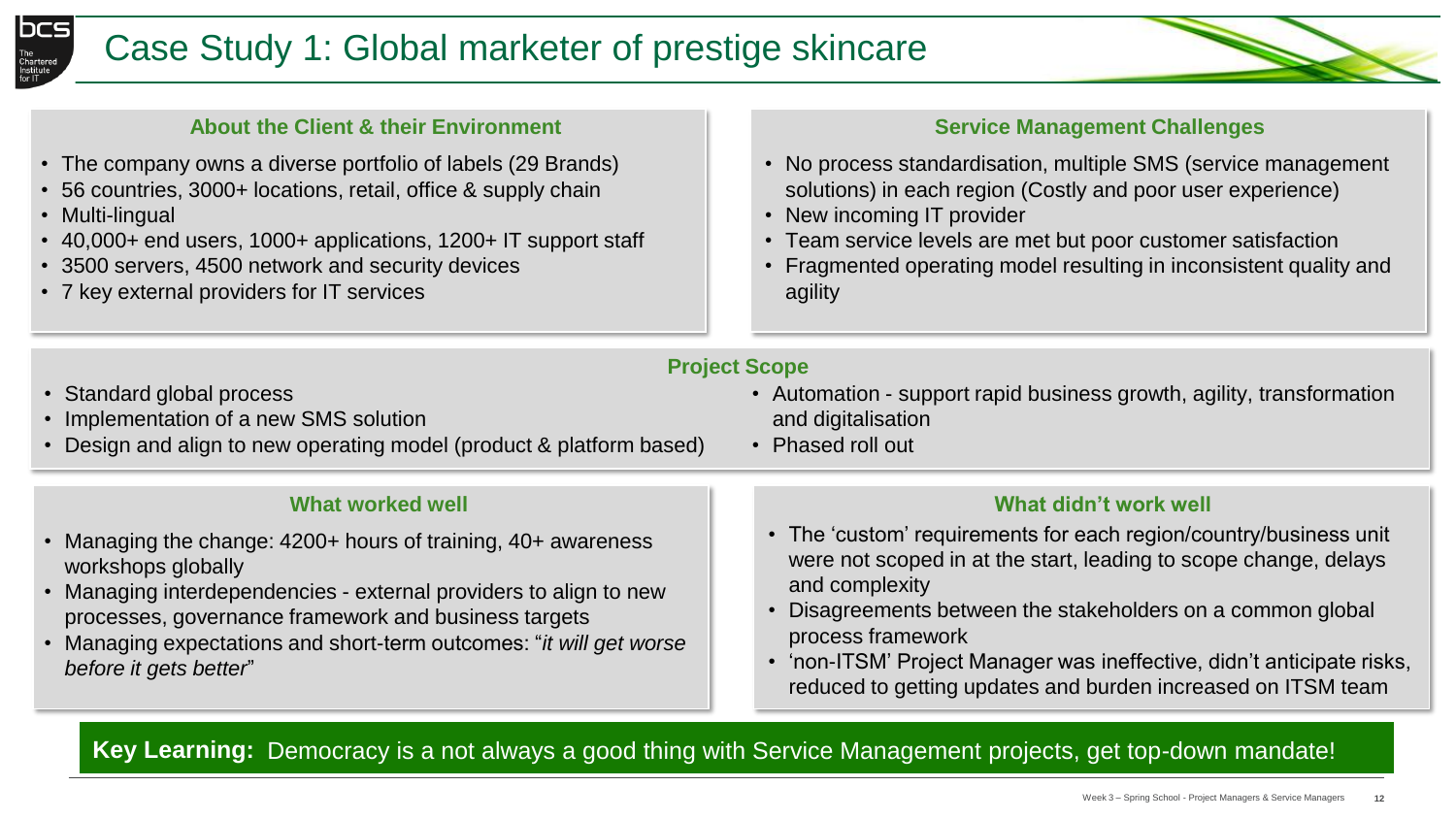



- The company owns a diverse portfolio of labels (29 Brands)
- 56 countries, 3000+ locations, retail, office & supply chain
- Multi-lingual
- 40,000+ end users, 1000+ applications, 1200+ IT support staff
- 3500 servers, 4500 network and security devices
- 7 key external providers for IT services

#### **Service Management Challenges**

- No process standardisation, multiple SMS (service management solutions) in each region (Costly and poor user experience)
- New incoming IT provider
- Team service levels are met but poor customer satisfaction
- Fragmented operating model resulting in inconsistent quality and agility

• Automation - support rapid business growth, agility, transformation

### **Project Scope**

• Standard global process

workshops globally

*before it gets better*"

- Implementation of a new SMS solution
- Design and align to new operating model (product & platform based)

**What worked well**

• Managing the change: 4200+ hours of training, 40+ awareness

• Managing interdependencies - external providers to align to new

• Managing expectations and short-term outcomes: "*it will get worse* 

processes, governance framework and business targets

- and digitalisation
	- Phased roll out

#### **What didn't work well**

- The 'custom' requirements for each region/country/business unit were not scoped in at the start, leading to scope change, delays and complexity
- Disagreements between the stakeholders on a common global process framework
- 'non-ITSM' Project Manager was ineffective, didn't anticipate risks, reduced to getting updates and burden increased on ITSM team

## **Key Learning:** Democracy is a not always a good thing with Service Management projects, get top-down mandate!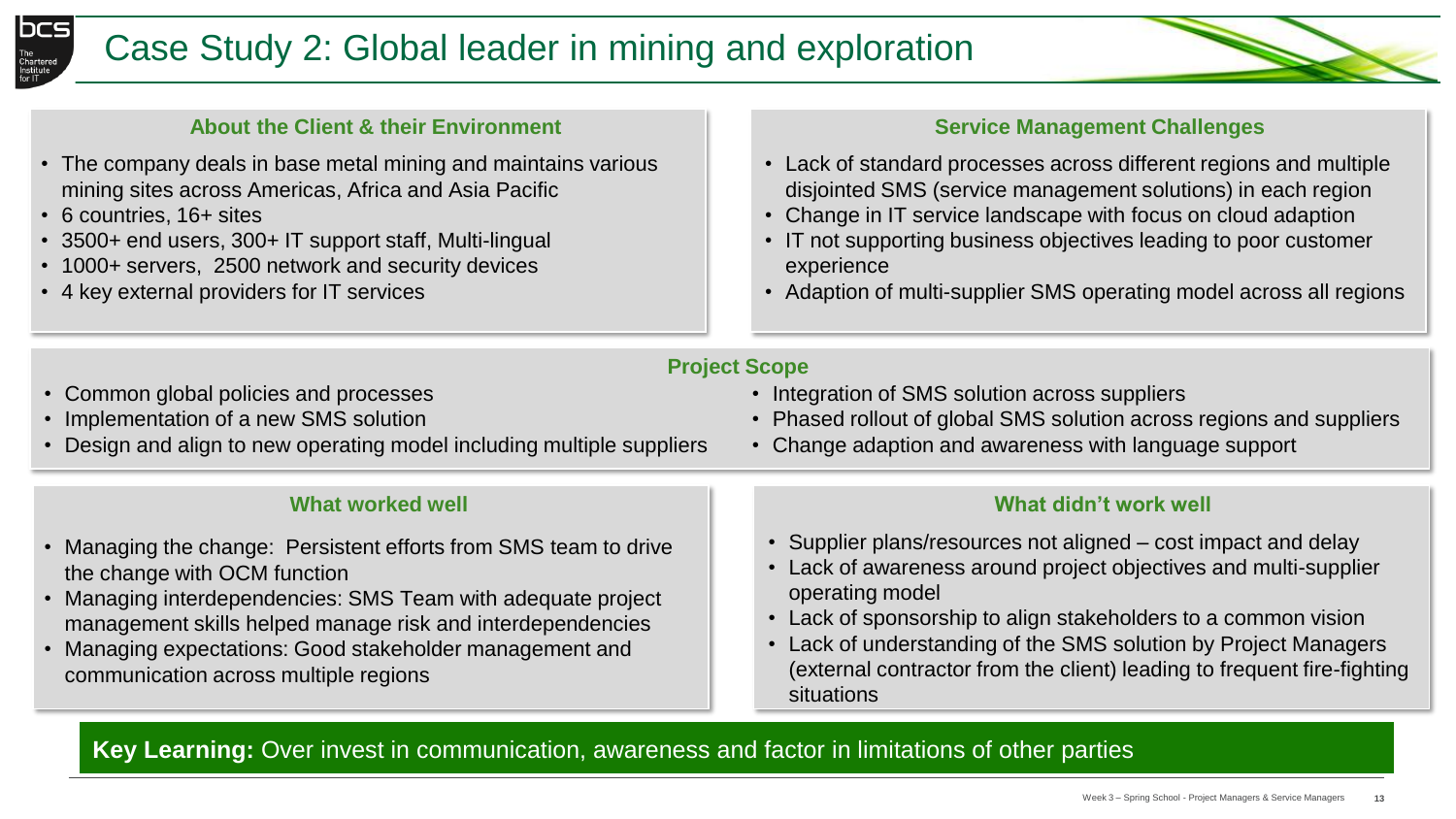



- The company deals in base metal mining and maintains various mining sites across Americas, Africa and Asia Pacific
- 6 countries, 16+ sites
- 3500+ end users, 300+ IT support staff, Multi-lingual
- 1000+ servers, 2500 network and security devices
- 4 key external providers for IT services

#### **Service Management Challenges**

- Lack of standard processes across different regions and multiple disjointed SMS (service management solutions) in each region
- Change in IT service landscape with focus on cloud adaption
- IT not supporting business objectives leading to poor customer experience
- Adaption of multi-supplier SMS operating model across all regions

#### **Project Scope**

- Common global policies and processes
- Implementation of a new SMS solution
- Design and align to new operating model including multiple suppliers

#### **What worked well**

- Managing the change: Persistent efforts from SMS team to drive the change with OCM function
- Managing interdependencies: SMS Team with adequate project management skills helped manage risk and interdependencies
- Managing expectations: Good stakeholder management and communication across multiple regions

#### • Integration of SMS solution across suppliers

- Phased rollout of global SMS solution across regions and suppliers
- Change adaption and awareness with language support

#### **What didn't work well**

- Supplier plans/resources not aligned cost impact and delay
- Lack of awareness around project objectives and multi-supplier operating model
- Lack of sponsorship to align stakeholders to a common vision
- Lack of understanding of the SMS solution by Project Managers (external contractor from the client) leading to frequent fire-fighting situations

Key Learning: Over invest in communication, awareness and factor in limitations of other parties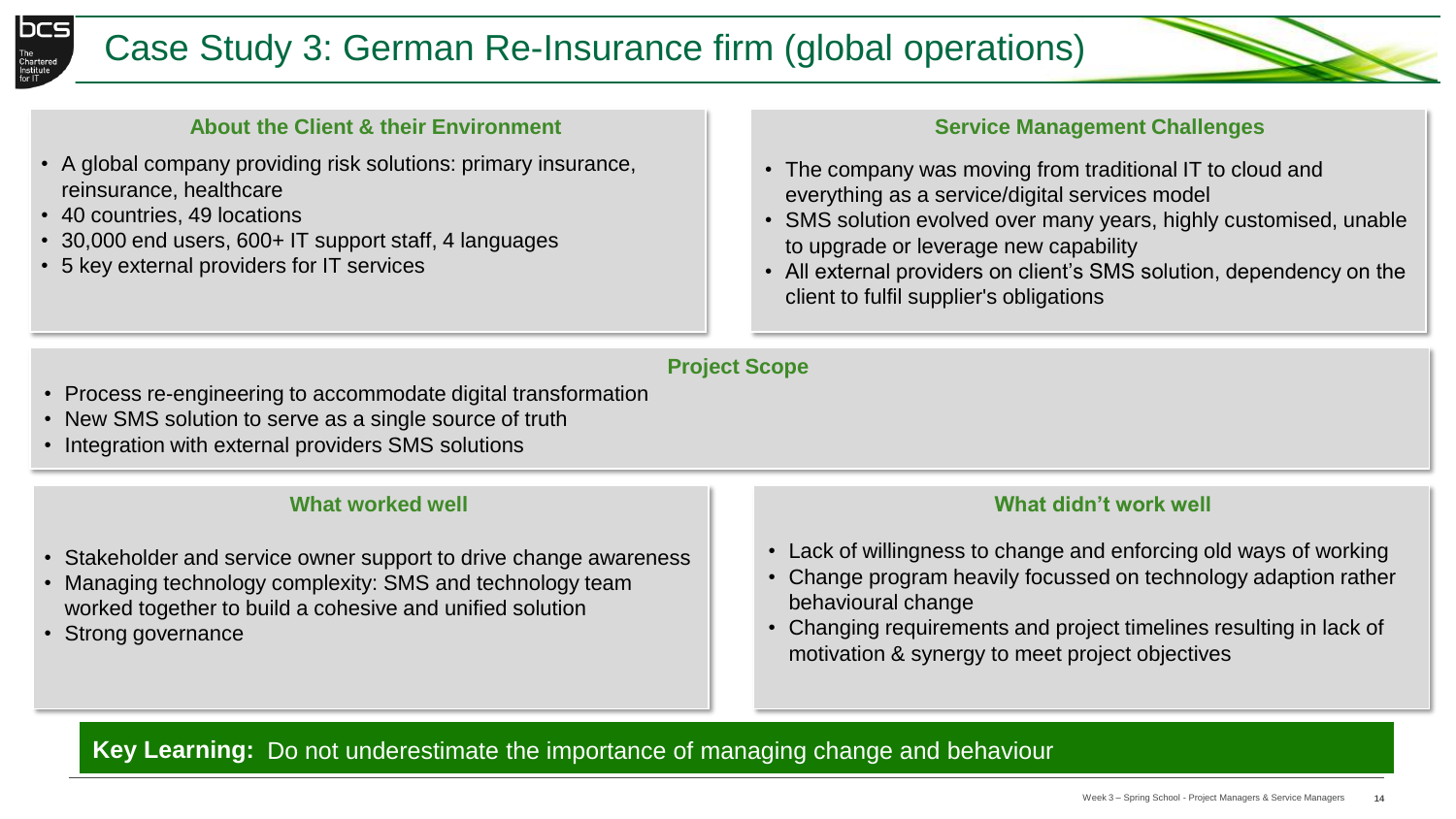



- A global company providing risk solutions: primary insurance, reinsurance, healthcare
- 40 countries, 49 locations
- 30,000 end users, 600+ IT support staff, 4 languages
- 5 key external providers for IT services

#### **Service Management Challenges**

- The company was moving from traditional IT to cloud and everything as a service/digital services model
- SMS solution evolved over many years, highly customised, unable to upgrade or leverage new capability
- All external providers on client's SMS solution, dependency on the client to fulfil supplier's obligations

#### **Project Scope**

- Process re-engineering to accommodate digital transformation
- New SMS solution to serve as a single source of truth
- Integration with external providers SMS solutions

#### **What worked well**

- Stakeholder and service owner support to drive change awareness
- Managing technology complexity: SMS and technology team worked together to build a cohesive and unified solution
- Strong governance

#### **What didn't work well**

- Lack of willingness to change and enforcing old ways of working
- Change program heavily focussed on technology adaption rather behavioural change
- Changing requirements and project timelines resulting in lack of motivation & synergy to meet project objectives

**Key Learning:** Do not underestimate the importance of managing change and behaviour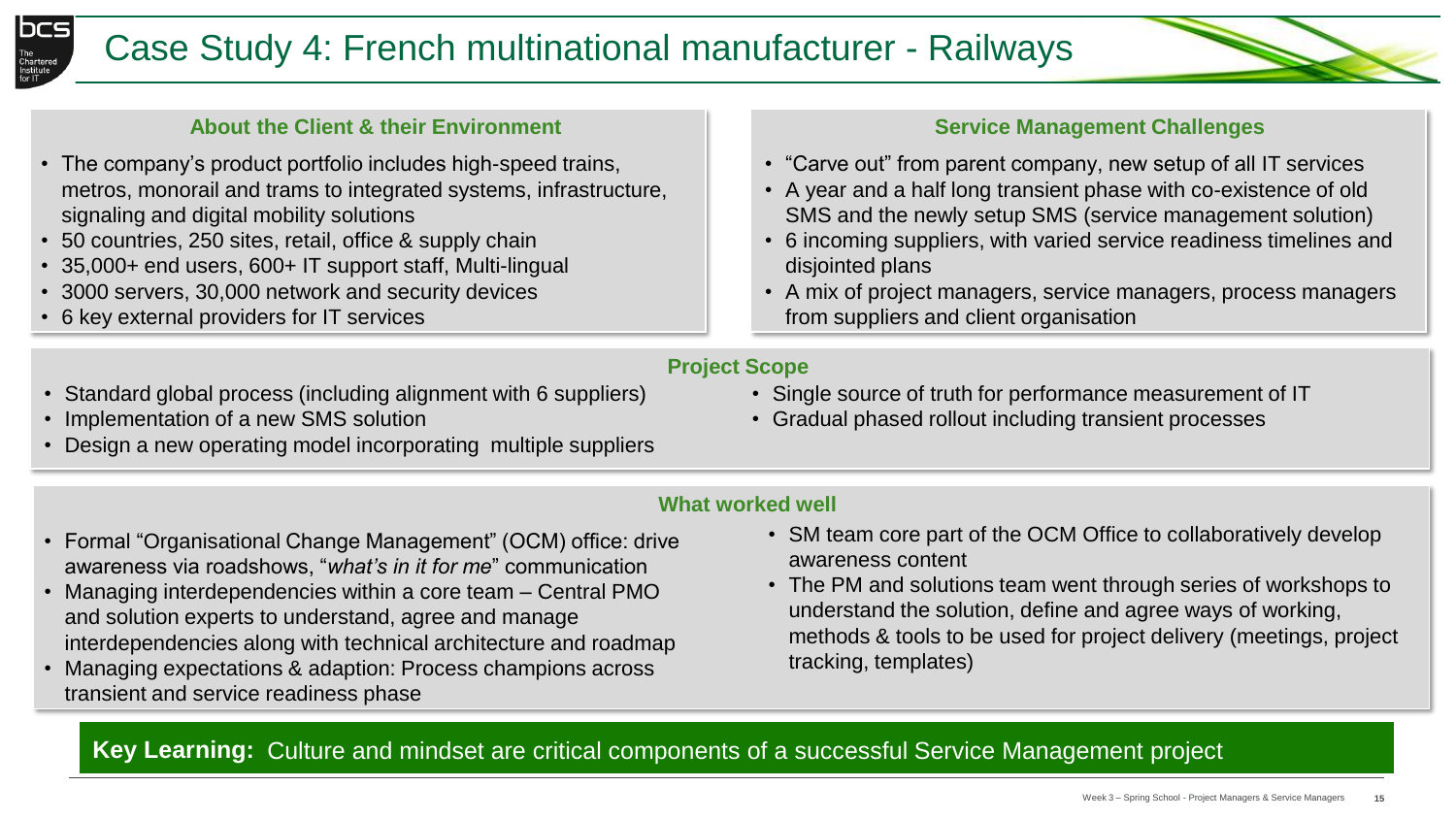

- The company's product portfolio includes high-speed trains, metros, monorail and trams to integrated systems, infrastructure, signaling and digital mobility solutions
- 50 countries, 250 sites, retail, office & supply chain
- 35,000+ end users, 600+ IT support staff, Multi-lingual
- 3000 servers, 30,000 network and security devices
- 6 key external providers for IT services

#### **Service Management Challenges**

- "Carve out" from parent company, new setup of all IT services
- A year and a half long transient phase with co-existence of old SMS and the newly setup SMS (service management solution)
- 6 incoming suppliers, with varied service readiness timelines and disjointed plans
- A mix of project managers, service managers, process managers from suppliers and client organisation

#### **Project Scope**

- Standard global process (including alignment with 6 suppliers)
- Implementation of a new SMS solution
- Design a new operating model incorporating multiple suppliers
- Single source of truth for performance measurement of IT
- Gradual phased rollout including transient processes

#### **What worked well**

- Formal "Organisational Change Management" (OCM) office: drive awareness via roadshows, "*what's in it for me*" communication
- Managing interdependencies within a core team Central PMO and solution experts to understand, agree and manage interdependencies along with technical architecture and roadmap
- Managing expectations & adaption: Process champions across transient and service readiness phase
- SM team core part of the OCM Office to collaboratively develop awareness content
- The PM and solutions team went through series of workshops to understand the solution, define and agree ways of working, methods & tools to be used for project delivery (meetings, project tracking, templates)

**Key Learning:**  Culture and mindset are critical components of a successful Service Management project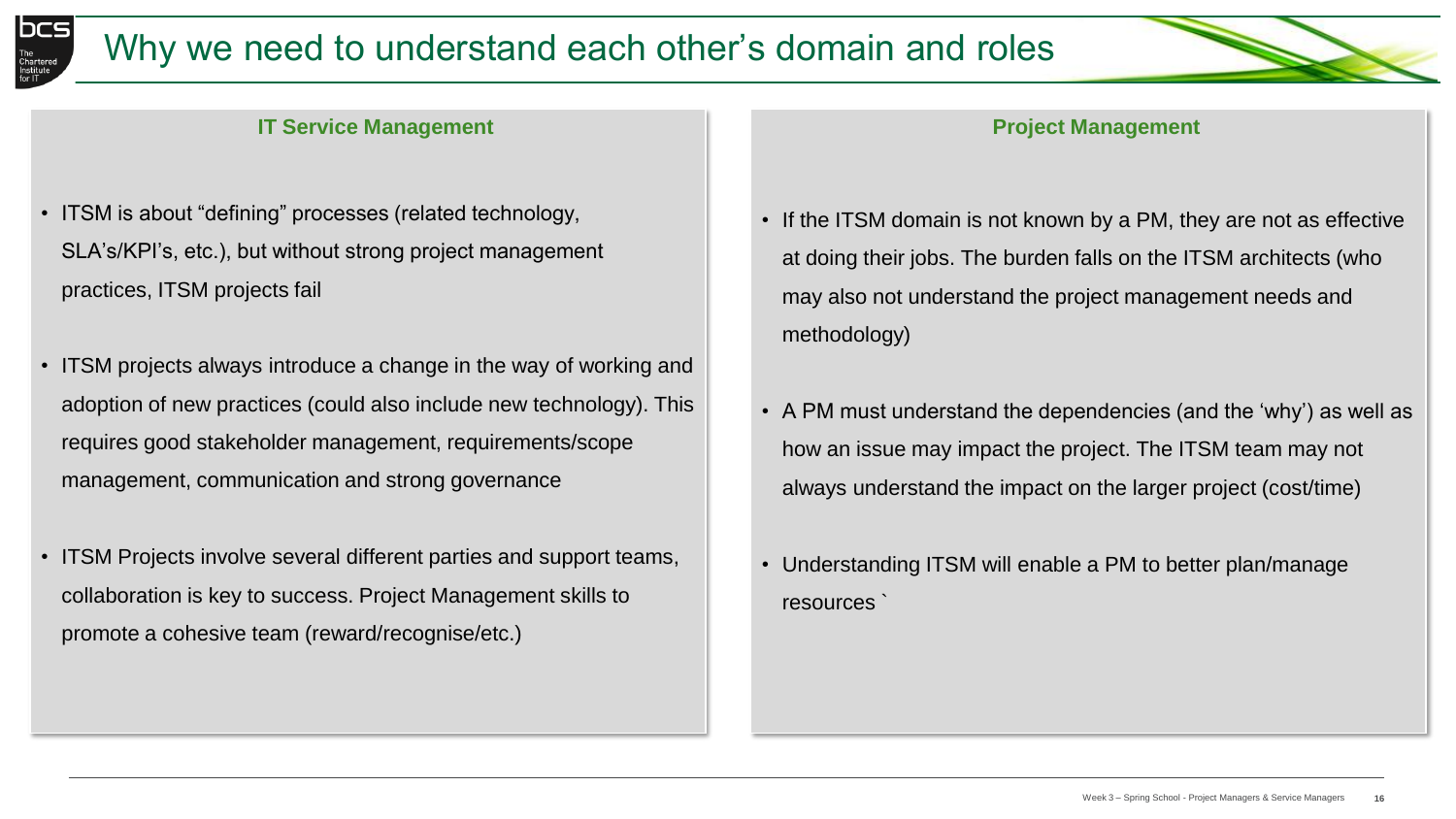



#### **IT Service Management**

- ITSM is about "defining" processes (related technology, SLA's/KPI's, etc.), but without strong project management practices, ITSM projects fail
- ITSM projects always introduce a change in the way of working and adoption of new practices (could also include new technology). This requires good stakeholder management, requirements/scope management, communication and strong governance
- ITSM Projects involve several different parties and support teams, collaboration is key to success. Project Management skills to promote a cohesive team (reward/recognise/etc.)

#### **Project Management**

- If the ITSM domain is not known by a PM, they are not as effective at doing their jobs. The burden falls on the ITSM architects (who may also not understand the project management needs and methodology)
- A PM must understand the dependencies (and the 'why') as well as how an issue may impact the project. The ITSM team may not always understand the impact on the larger project (cost/time)
- Understanding ITSM will enable a PM to better plan/manage resources `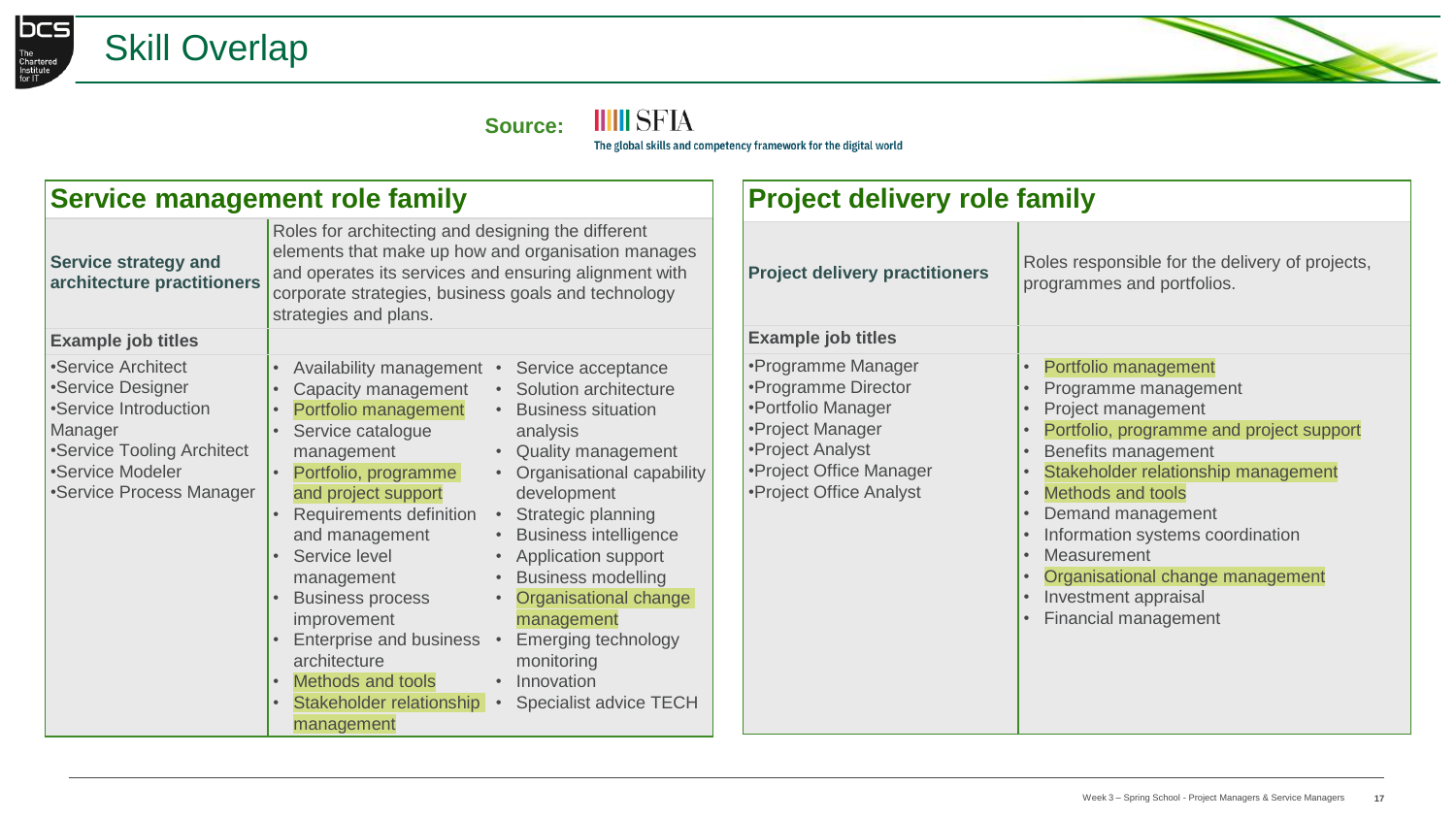



**Source:**

**IIIII** SFIA

The global skills and competency framework for the digital world

| <b>Service management role family</b>                                                                                                                     |                                                                                                                                                                                                                                                                                                                                                                                                                                                                                                                                                                                                                                                                                                                                                                                                     | <b>Project delivery role family</b>                                                                                                                           |                                                                                                                                                                                                                                                                                                                                                                      |  |
|-----------------------------------------------------------------------------------------------------------------------------------------------------------|-----------------------------------------------------------------------------------------------------------------------------------------------------------------------------------------------------------------------------------------------------------------------------------------------------------------------------------------------------------------------------------------------------------------------------------------------------------------------------------------------------------------------------------------------------------------------------------------------------------------------------------------------------------------------------------------------------------------------------------------------------------------------------------------------------|---------------------------------------------------------------------------------------------------------------------------------------------------------------|----------------------------------------------------------------------------------------------------------------------------------------------------------------------------------------------------------------------------------------------------------------------------------------------------------------------------------------------------------------------|--|
| <b>Service strategy and</b><br>architecture practitioners                                                                                                 | Roles for architecting and designing the different<br>elements that make up how and organisation manages<br>and operates its services and ensuring alignment with<br>corporate strategies, business goals and technology<br>strategies and plans.                                                                                                                                                                                                                                                                                                                                                                                                                                                                                                                                                   | <b>Project delivery practitioners</b>                                                                                                                         | Roles responsible for the delivery of projects,<br>programmes and portfolios.                                                                                                                                                                                                                                                                                        |  |
| <b>Example job titles</b>                                                                                                                                 |                                                                                                                                                                                                                                                                                                                                                                                                                                                                                                                                                                                                                                                                                                                                                                                                     | <b>Example job titles</b>                                                                                                                                     |                                                                                                                                                                                                                                                                                                                                                                      |  |
| •Service Architect<br>•Service Designer<br>•Service Introduction<br>Manager<br>•Service Tooling Architect<br>•Service Modeler<br>•Service Process Manager | Availability management •<br>Service acceptance<br>• Solution architecture<br>Capacity management<br>Portfolio management<br>• Business situation<br>Service catalogue<br>analysis<br><b>Quality management</b><br>management<br>$\bullet$<br>• Organisational capability<br>Portfolio, programme<br>development<br>and project support<br>Requirements definition<br>Strategic planning<br>• Business intelligence<br>and management<br>Service level<br>• Application support<br><b>Business modelling</b><br>management<br>Organisational change<br><b>Business process</b><br>management<br>improvement<br>Enterprise and business<br>Emerging technology<br>architecture<br>monitoring<br>Methods and tools<br>• Innovation<br>Stakeholder relationship • Specialist advice TECH<br>management | •Programme Manager<br>•Programme Director<br>•Portfolio Manager<br>•Project Manager<br>•Project Analyst<br>•Project Office Manager<br>•Project Office Analyst | Portfolio management<br>Programme management<br>Project management<br>Portfolio, programme and project support<br>Benefits management<br>Stakeholder relationship management<br><b>Methods and tools</b><br>Demand management<br>Information systems coordination<br>Measurement<br>Organisational change management<br>Investment appraisal<br>Financial management |  |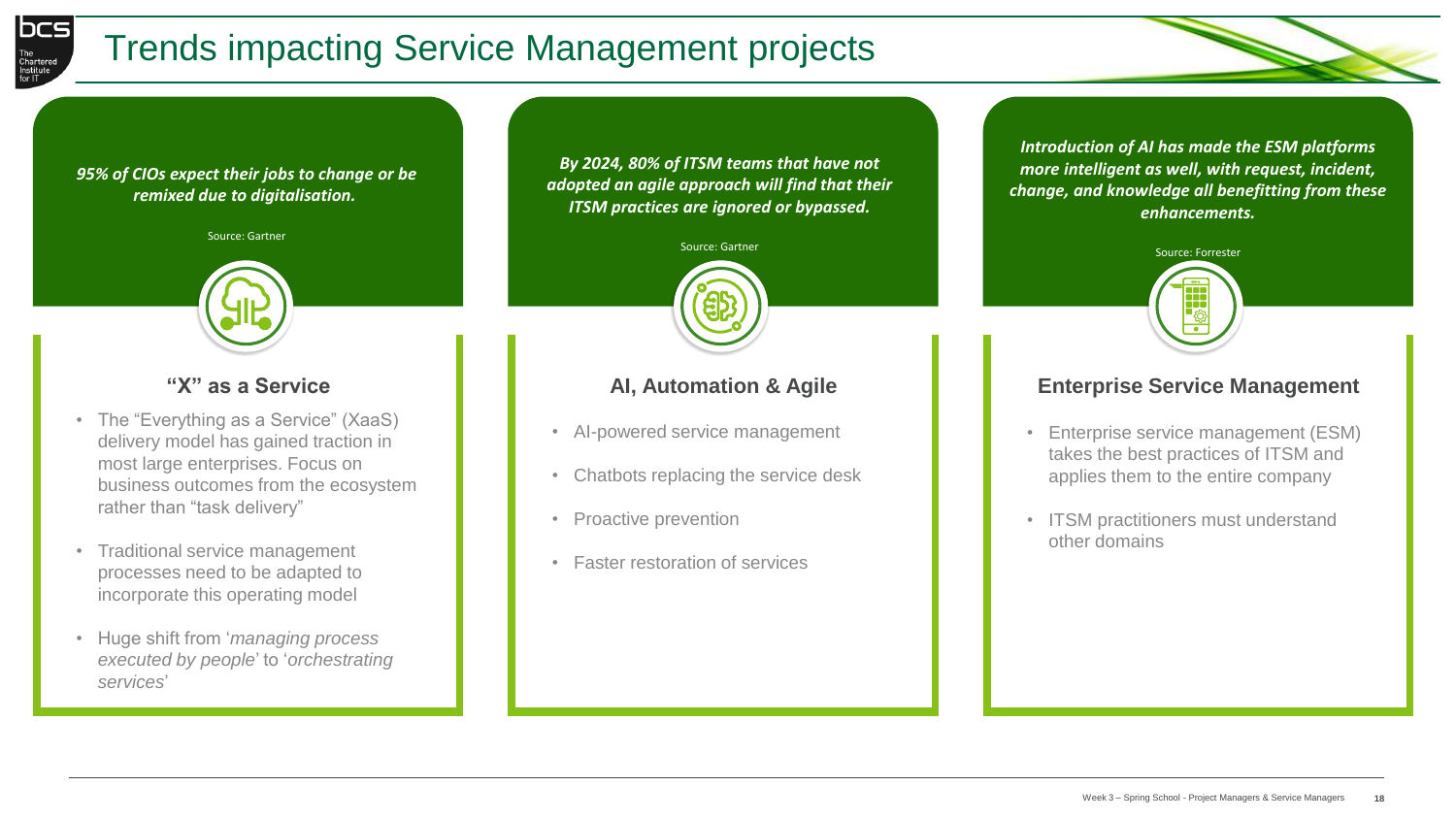

# Trends impacting Service Management projects

#### *95% of CIOs expect their jobs to change or be remixed due to digitalisation.*

Source: Gartner



### **"X" as a Service**

- The "Everything as a Service" (XaaS) delivery model has gained traction in most large enterprises. Focus on business outcomes from the ecosystem rather than "task delivery"
- Traditional service management processes need to be adapted to incorporate this operating model
- Huge shift from '*managing process executed by people*' to '*orchestrating services*'

*By 2024, 80% of ITSM teams that have not adopted an agile approach will find that their ITSM practices are ignored or bypassed.* 



#### **AI, Automation & Agile**

- AI-powered service management
- Chatbots replacing the service desk
- Proactive prevention
- Faster restoration of services

*Introduction of AI has made the ESM platforms more intelligent as well, with request, incident, change, and knowledge all benefitting from these enhancements.*



#### **Enterprise Service Management**

- Enterprise service management (ESM) takes the best practices of ITSM and applies them to the entire company
- ITSM practitioners must understand other domains